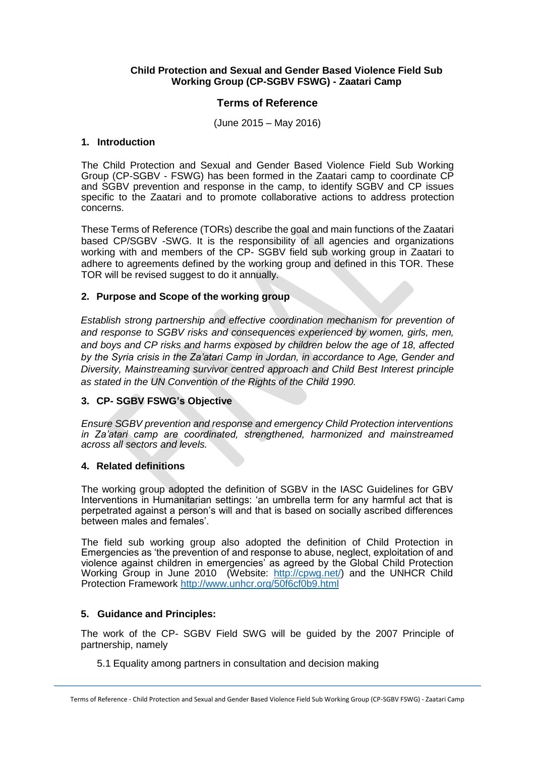#### **Child Protection and Sexual and Gender Based Violence Field Sub Working Group (CP-SGBV FSWG) - Zaatari Camp**

# **Terms of Reference**

(June 2015 – May 2016)

#### **1. Introduction**

The Child Protection and Sexual and Gender Based Violence Field Sub Working Group (CP-SGBV - FSWG) has been formed in the Zaatari camp to coordinate CP and SGBV prevention and response in the camp, to identify SGBV and CP issues specific to the Zaatari and to promote collaborative actions to address protection concerns.

These Terms of Reference (TORs) describe the goal and main functions of the Zaatari based CP/SGBV -SWG. It is the responsibility of all agencies and organizations working with and members of the CP- SGBV field sub working group in Zaatari to adhere to agreements defined by the working group and defined in this TOR. These TOR will be revised suggest to do it annually.

## **2. Purpose and Scope of the working group**

*Establish strong partnership and effective coordination mechanism for prevention of and response to SGBV risks and consequences experienced by women, girls, men, and boys and CP risks and harms exposed by children below the age of 18, affected by the Syria crisis in the Za'atari Camp in Jordan, in accordance to Age, Gender and Diversity, Mainstreaming survivor centred approach and Child Best Interest principle as stated in the UN Convention of the Rights of the Child 1990.*

## **3. CP- SGBV FSWG's Objective**

*Ensure SGBV prevention and response and emergency Child Protection interventions in Za'atari camp are coordinated, strengthened, harmonized and mainstreamed across all sectors and levels.*

## **4. Related definitions**

The working group adopted the definition of SGBV in the IASC Guidelines for GBV Interventions in Humanitarian settings: 'an umbrella term for any harmful act that is perpetrated against a person's will and that is based on socially ascribed differences between males and females'.

The field sub working group also adopted the definition of Child Protection in Emergencies as 'the prevention of and response to abuse, neglect, exploitation of and violence against children in emergencies' as agreed by the Global Child Protection Working Group in June 2010 (Website: [http://cpwg.net/\)](http://cpwg.net/) and the UNHCR Child Protection Framework<http://www.unhcr.org/50f6cf0b9.html>

## **5. Guidance and Principles:**

The work of the CP- SGBV Field SWG will be guided by the 2007 Principle of partnership, namely

5.1 Equality among partners in consultation and decision making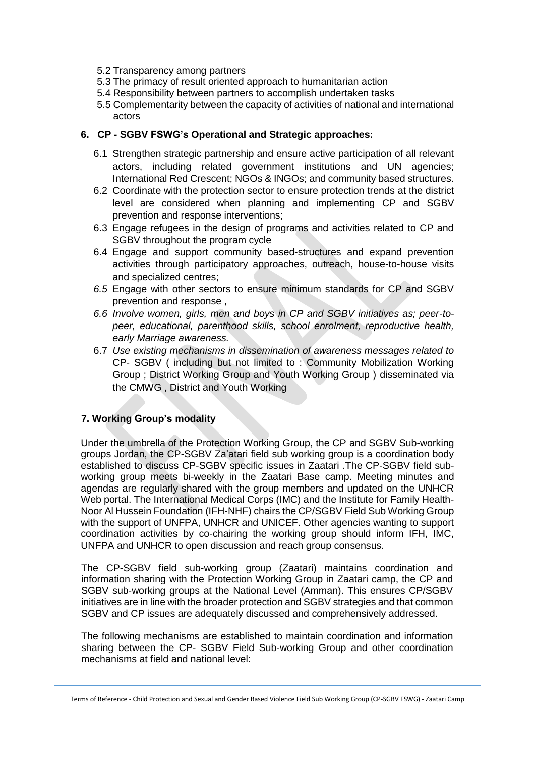- 5.2 Transparency among partners
- 5.3 The primacy of result oriented approach to humanitarian action
- 5.4 Responsibility between partners to accomplish undertaken tasks
- 5.5 Complementarity between the capacity of activities of national and international actors

#### **6. CP - SGBV FSWG's Operational and Strategic approaches:**

- 6.1 Strengthen strategic partnership and ensure active participation of all relevant actors, including related government institutions and UN agencies; International Red Crescent; NGOs & INGOs; and community based structures.
- 6.2 Coordinate with the protection sector to ensure protection trends at the district level are considered when planning and implementing CP and SGBV prevention and response interventions;
- 6.3 Engage refugees in the design of programs and activities related to CP and SGBV throughout the program cycle
- 6.4 Engage and support community based-structures and expand prevention activities through participatory approaches, outreach, house-to-house visits and specialized centres;
- *6.5* Engage with other sectors to ensure minimum standards for CP and SGBV prevention and response ,
- *6.6 Involve women, girls, men and boys in CP and SGBV initiatives as; peer-topeer, educational, parenthood skills, school enrolment, reproductive health, early Marriage awareness.*
- 6.7 *Use existing mechanisms in dissemination of awareness messages related to*  CP- SGBV ( including but not limited to : Community Mobilization Working Group ; District Working Group and Youth Working Group ) disseminated via the CMWG , District and Youth Working

## **7. Working Group's modality**

Under the umbrella of the Protection Working Group, the CP and SGBV Sub-working groups Jordan, the CP-SGBV Za'atari field sub working group is a coordination body established to discuss CP-SGBV specific issues in Zaatari .The CP-SGBV field subworking group meets bi-weekly in the Zaatari Base camp. Meeting minutes and agendas are regularly shared with the group members and updated on the UNHCR Web portal. The International Medical Corps (IMC) and the Institute for Family Health-Noor Al Hussein Foundation (IFH-NHF) chairs the CP/SGBV Field Sub Working Group with the support of UNFPA, UNHCR and UNICEF. Other agencies wanting to support coordination activities by co-chairing the working group should inform IFH, IMC, UNFPA and UNHCR to open discussion and reach group consensus.

The CP-SGBV field sub-working group (Zaatari) maintains coordination and information sharing with the Protection Working Group in Zaatari camp, the CP and SGBV sub-working groups at the National Level (Amman). This ensures CP/SGBV initiatives are in line with the broader protection and SGBV strategies and that common SGBV and CP issues are adequately discussed and comprehensively addressed.

The following mechanisms are established to maintain coordination and information sharing between the CP- SGBV Field Sub-working Group and other coordination mechanisms at field and national level:

Terms of Reference - Child Protection and Sexual and Gender Based Violence Field Sub Working Group (CP-SGBV FSWG) - Zaatari Camp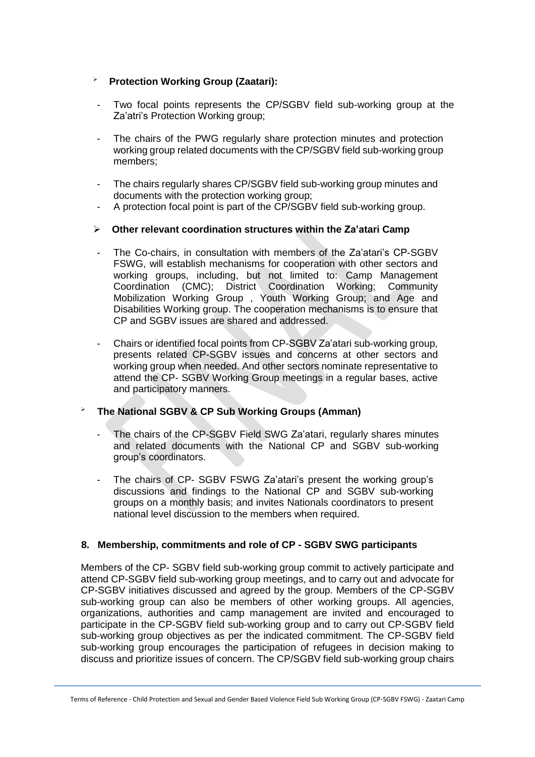# **Protection Working Group (Zaatari):**

- Two focal points represents the CP/SGBV field sub-working group at the Za'atri's Protection Working group;
- The chairs of the PWG regularly share protection minutes and protection working group related documents with the CP/SGBV field sub-working group members;
- The chairs regularly shares CP/SGBV field sub-working group minutes and documents with the protection working group;
- A protection focal point is part of the CP/SGBV field sub-working group.

# **Other relevant coordination structures within the Za'atari Camp**

- The Co-chairs, in consultation with members of the Za'atari's CP-SGBV FSWG, will establish mechanisms for cooperation with other sectors and working groups, including, but not limited to: Camp Management Coordination (CMC); District Coordination Working; Community Mobilization Working Group , Youth Working Group; and Age and Disabilities Working group. The cooperation mechanisms is to ensure that CP and SGBV issues are shared and addressed.
- Chairs or identified focal points from CP-SGBV Za'atari sub-working group, presents related CP-SGBV issues and concerns at other sectors and working group when needed. And other sectors nominate representative to attend the CP- SGBV Working Group meetings in a regular bases, active and participatory manners.

# **The National SGBV & CP Sub Working Groups (Amman)**

- The chairs of the CP-SGBV Field SWG Za'atari, regularly shares minutes and related documents with the National CP and SGBV sub-working group's coordinators.
- The chairs of CP- SGBV FSWG Za'atari's present the working group's discussions and findings to the National CP and SGBV sub-working groups on a monthly basis; and invites Nationals coordinators to present national level discussion to the members when required.

## **8. Membership, commitments and role of CP - SGBV SWG participants**

Members of the CP- SGBV field sub-working group commit to actively participate and attend CP-SGBV field sub-working group meetings, and to carry out and advocate for CP-SGBV initiatives discussed and agreed by the group. Members of the CP-SGBV sub-working group can also be members of other working groups. All agencies, organizations, authorities and camp management are invited and encouraged to participate in the CP-SGBV field sub-working group and to carry out CP-SGBV field sub-working group objectives as per the indicated commitment. The CP-SGBV field sub-working group encourages the participation of refugees in decision making to discuss and prioritize issues of concern. The CP/SGBV field sub-working group chairs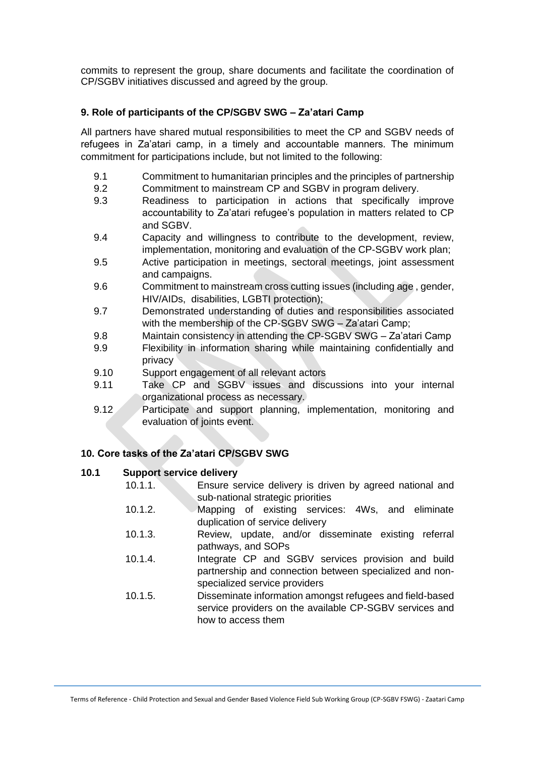commits to represent the group, share documents and facilitate the coordination of CP/SGBV initiatives discussed and agreed by the group.

# **9. Role of participants of the CP/SGBV SWG – Za'atari Camp**

All partners have shared mutual responsibilities to meet the CP and SGBV needs of refugees in Za'atari camp, in a timely and accountable manners. The minimum commitment for participations include, but not limited to the following:

- 9.1 Commitment to humanitarian principles and the principles of partnership
- 9.2 Commitment to mainstream CP and SGBV in program delivery.
- 9.3 Readiness to participation in actions that specifically improve accountability to Za'atari refugee's population in matters related to CP and SGBV.
- 9.4 Capacity and willingness to contribute to the development, review, implementation, monitoring and evaluation of the CP-SGBV work plan;
- 9.5 Active participation in meetings, sectoral meetings, joint assessment and campaigns.
- 9.6 Commitment to mainstream cross cutting issues (including age , gender, HIV/AIDs, disabilities, LGBTI protection);
- 9.7 Demonstrated understanding of duties and responsibilities associated with the membership of the CP-SGBV SWG – Za'atari Camp;
- 9.8 Maintain consistency in attending the CP-SGBV SWG Za'atari Camp
- 9.9 Flexibility in information sharing while maintaining confidentially and privacy
- 9.10 Support engagement of all relevant actors
- 9.11 Take CP and SGBV issues and discussions into your internal organizational process as necessary.
- 9.12 Participate and support planning, implementation, monitoring and evaluation of joints event.

# **10. Core tasks of the Za'atari CP/SGBV SWG**

## **10.1 Support service delivery**

- 10.1.1. Ensure service delivery is driven by agreed national and sub-national strategic priorities
- 10.1.2. Mapping of existing services: 4Ws, and eliminate duplication of service delivery
- 10.1.3. Review, update, and/or disseminate existing referral pathways, and SOPs
- 10.1.4. Integrate CP and SGBV services provision and build partnership and connection between specialized and nonspecialized service providers
- 10.1.5. Disseminate information amongst refugees and field-based service providers on the available CP-SGBV services and how to access them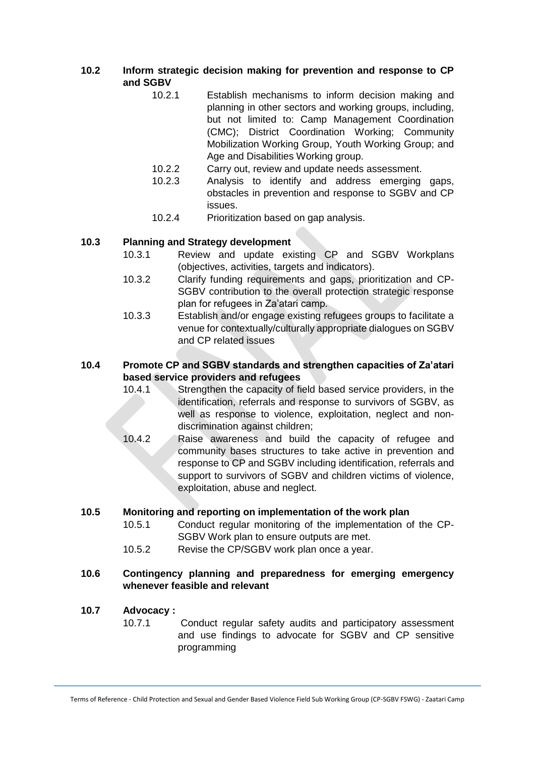- **10.2 Inform strategic decision making for prevention and response to CP and SGBV** 
	- 10.2.1 Establish mechanisms to inform decision making and planning in other sectors and working groups, including, but not limited to: Camp Management Coordination (CMC); District Coordination Working; Community Mobilization Working Group, Youth Working Group; and Age and Disabilities Working group.
	- 10.2.2 Carry out, review and update needs assessment.
	- 10.2.3 Analysis to identify and address emerging gaps, obstacles in prevention and response to SGBV and CP issues.
	- 10.2.4 Prioritization based on gap analysis.

## **10.3 Planning and Strategy development**

- 10.3.1 Review and update existing CP and SGBV Workplans (objectives, activities, targets and indicators).
- 10.3.2 Clarify funding requirements and gaps, prioritization and CP-SGBV contribution to the overall protection strategic response plan for refugees in Za'atari camp.
- 10.3.3 Establish and/or engage existing refugees groups to facilitate a venue for contextually/culturally appropriate dialogues on SGBV and CP related issues

#### **10.4 Promote CP and SGBV standards and strengthen capacities of Za'atari based service providers and refugees**

- 10.4.1 Strengthen the capacity of field based service providers, in the identification, referrals and response to survivors of SGBV, as well as response to violence, exploitation, neglect and nondiscrimination against children;
- 10.4.2 Raise awareness and build the capacity of refugee and community bases structures to take active in prevention and response to CP and SGBV including identification, referrals and support to survivors of SGBV and children victims of violence, exploitation, abuse and neglect.

#### **10.5 Monitoring and reporting on implementation of the work plan**

- 10.5.1 Conduct regular monitoring of the implementation of the CP-SGBV Work plan to ensure outputs are met.
- 10.5.2 Revise the CP/SGBV work plan once a year.

#### **10.6 Contingency planning and preparedness for emerging emergency whenever feasible and relevant**

#### **10.7 Advocacy :**

10.7.1 Conduct regular safety audits and participatory assessment and use findings to advocate for SGBV and CP sensitive programming